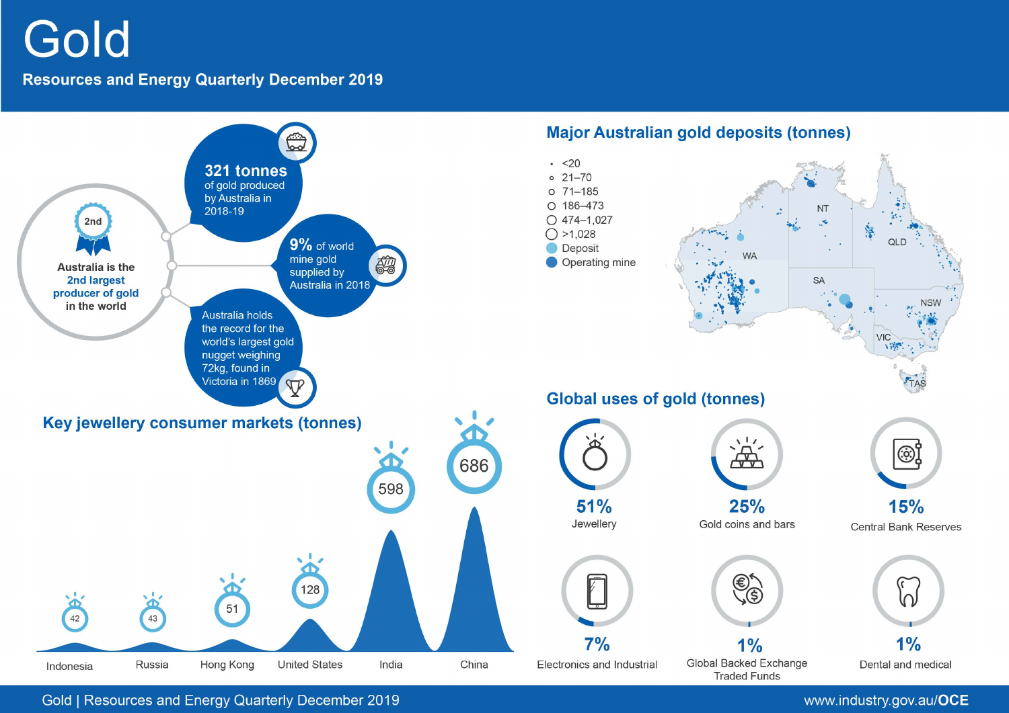# Gold

# **Resources and Energy Quarterly December 2019**



Gold | Resources and Energy Quarterly December 2019

# www.industry.gov.au/OCE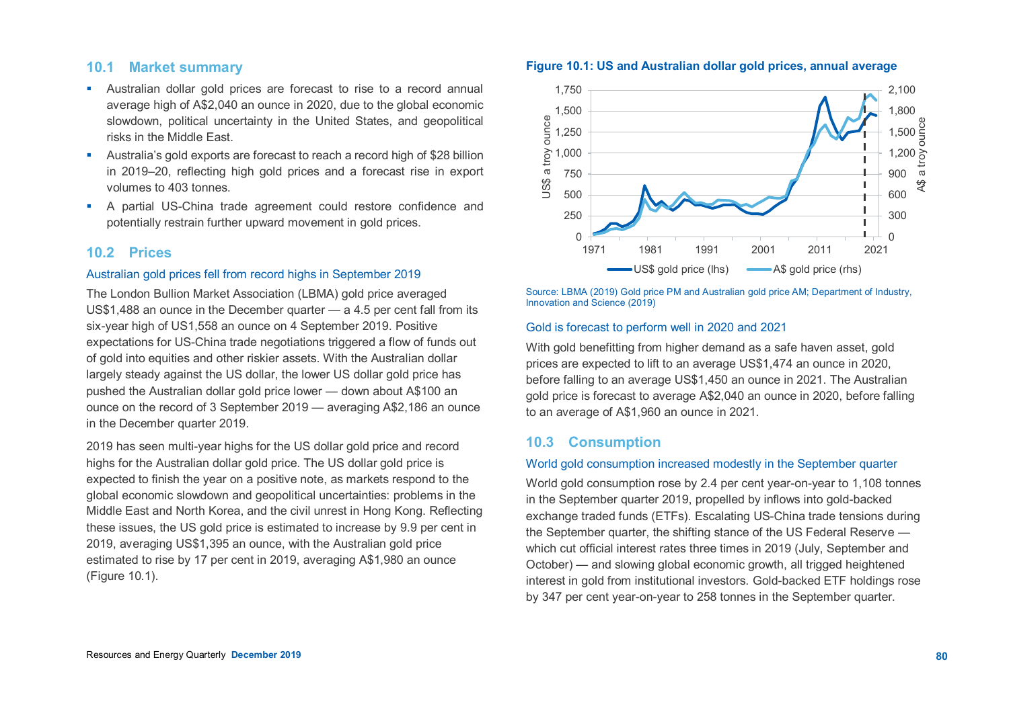# **10.1 Market summary**

- Australian dollar gold prices are forecast to rise to a record annual average high of A\$2,040 an ounce in 2020, due to the global economic slowdown, political uncertainty in the United States, and geopolitical risks in the Middle East.
- Australia's gold exports are forecast to reach a record high of \$28 billion in 2019–20, reflecting high gold prices and a forecast rise in export volumes to 403 tonnes.
- A partial US-China trade agreement could restore confidence and potentially restrain further upward movement in gold prices.

# **10.2 Prices**

#### Australian gold prices fell from record highs in September 2019

The London Bullion Market Association (LBMA) gold price averaged US\$1,488 an ounce in the December quarter — a 4.5 per cent fall from its six-year high of US1,558 an ounce on 4 September 2019. Positive expectations for US-China trade negotiations triggered a flow of funds out of gold into equities and other riskier assets. With the Australian dollar largely steady against the US dollar, the lower US dollar gold price has pushed the Australian dollar gold price lower — down about A\$100 an ounce on the record of 3 September 2019 — averaging A\$2,186 an ounce in the December quarter 2019.

2019 has seen multi-year highs for the US dollar gold price and record highs for the Australian dollar gold price. The US dollar gold price is expected to finish the year on a positive note, as markets respond to the global economic slowdown and geopolitical uncertainties: problems in the Middle East and North Korea, and the civil unrest in Hong Kong. Reflecting these issues, the US gold price is estimated to increase by 9.9 per cent in 2019, averaging US\$1,395 an ounce, with the Australian gold price estimated to rise by 17 per cent in 2019, averaging A\$1,980 an ounce (Figure 10.1).



Source: LBMA (2019) Gold price PM and Australian gold price AM; Department of Industry, Innovation and Science (2019)

#### Gold is forecast to perform well in 2020 and 2021

With gold benefitting from higher demand as a safe haven asset, gold prices are expected to lift to an average US\$1,474 an ounce in 2020, before falling to an average US\$1,450 an ounce in 2021. The Australian gold price is forecast to average A\$2,040 an ounce in 2020, before falling to an average of A\$1,960 an ounce in 2021.

### **10.3 Consumption**

#### World gold consumption increased modestly in the September quarter

World gold consumption rose by 2.4 per cent year-on-year to 1,108 tonnes in the September quarter 2019, propelled by inflows into gold-backed exchange traded funds (ETFs). Escalating US-China trade tensions during the September quarter, the shifting stance of the US Federal Reserve which cut official interest rates three times in 2019 (July, September and October) — and slowing global economic growth, all trigged heightened interest in gold from institutional investors. Gold-backed ETF holdings rose by 347 per cent year-on-year to 258 tonnes in the September quarter.

### **Figure 10.1: US and Australian dollar gold prices, annual average**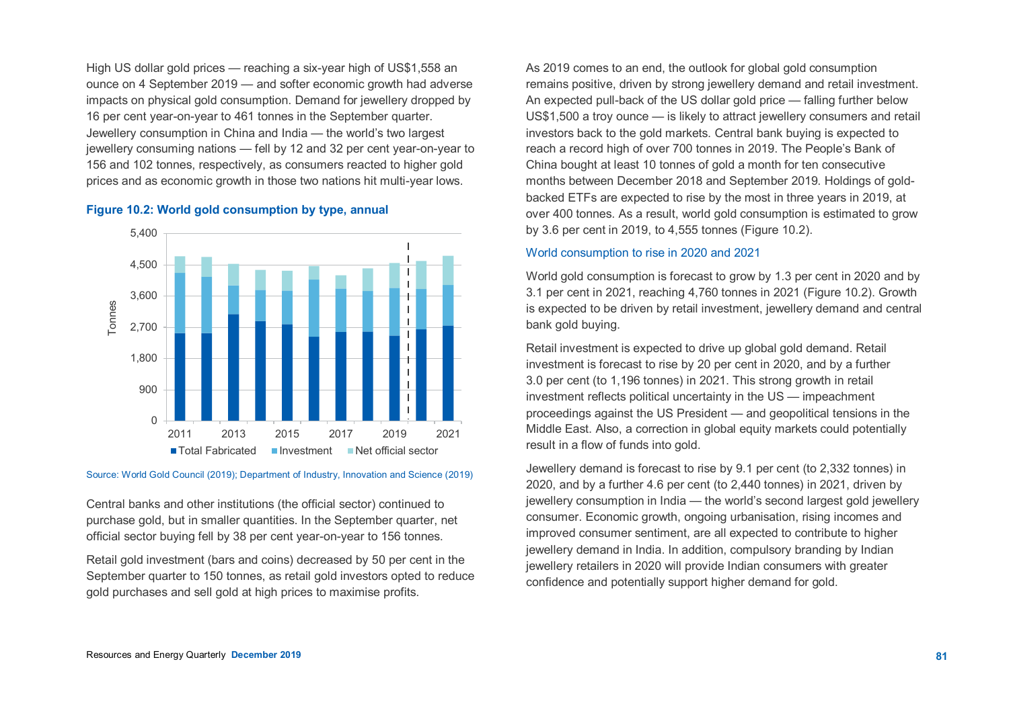High US dollar gold prices — reaching a six-year high of US\$1,558 an ounce on 4 September 2019 — and softer economic growth had adverse impacts on physical gold consumption. Demand for jewellery dropped by 16 per cent year-on-year to 461 tonnes in the September quarter. Jewellery consumption in China and India — the world's two largest jewellery consuming nations — fell by 12 and 32 per cent year-on-year to 156 and 102 tonnes, respectively, as consumers reacted to higher gold prices and as economic growth in those two nations hit multi-year lows.

#### **Figure 10.2: World gold consumption by type, annual**



#### Source: World Gold Council (2019); Department of Industry, Innovation and Science (2019)

Central banks and other institutions (the official sector) continued to purchase gold, but in smaller quantities. In the September quarter, net official sector buying fell by 38 per cent year-on-year to 156 tonnes.

Retail gold investment (bars and coins) decreased by 50 per cent in the September quarter to 150 tonnes, as retail gold investors opted to reduce gold purchases and sell gold at high prices to maximise profits.

As 2019 comes to an end, the outlook for global gold consumption remains positive, driven by strong jewellery demand and retail investment. An expected pull-back of the US dollar gold price — falling further below US\$1,500 a troy ounce — is likely to attract jewellery consumers and retail investors back to the gold markets. Central bank buying is expected to reach a record high of over 700 tonnes in 2019. The People's Bank of China bought at least 10 tonnes of gold a month for ten consecutive months between December 2018 and September 2019. Holdings of goldbacked ETFs are expected to rise by the most in three years in 2019, at over 400 tonnes. As a result, world gold consumption is estimated to grow by 3.6 per cent in 2019, to 4,555 tonnes (Figure 10.2).

#### World consumption to rise in 2020 and 2021

World gold consumption is forecast to grow by 1.3 per cent in 2020 and by 3.1 per cent in 2021, reaching 4,760 tonnes in 2021 (Figure 10.2). Growth is expected to be driven by retail investment, jewellery demand and central bank gold buying.

Retail investment is expected to drive up global gold demand. Retail investment is forecast to rise by 20 per cent in 2020, and by a further 3.0 per cent (to 1,196 tonnes) in 2021. This strong growth in retail investment reflects political uncertainty in the US — impeachment proceedings against the US President — and geopolitical tensions in the Middle East. Also, a correction in global equity markets could potentially result in a flow of funds into gold.

Jewellery demand is forecast to rise by 9.1 per cent (to 2,332 tonnes) in 2020, and by a further 4.6 per cent (to 2,440 tonnes) in 2021, driven by jewellery consumption in India — the world's second largest gold jewellery consumer. Economic growth, ongoing urbanisation, rising incomes and improved consumer sentiment, are all expected to contribute to higher jewellery demand in India. In addition, compulsory branding by Indian jewellery retailers in 2020 will provide Indian consumers with greater confidence and potentially support higher demand for gold.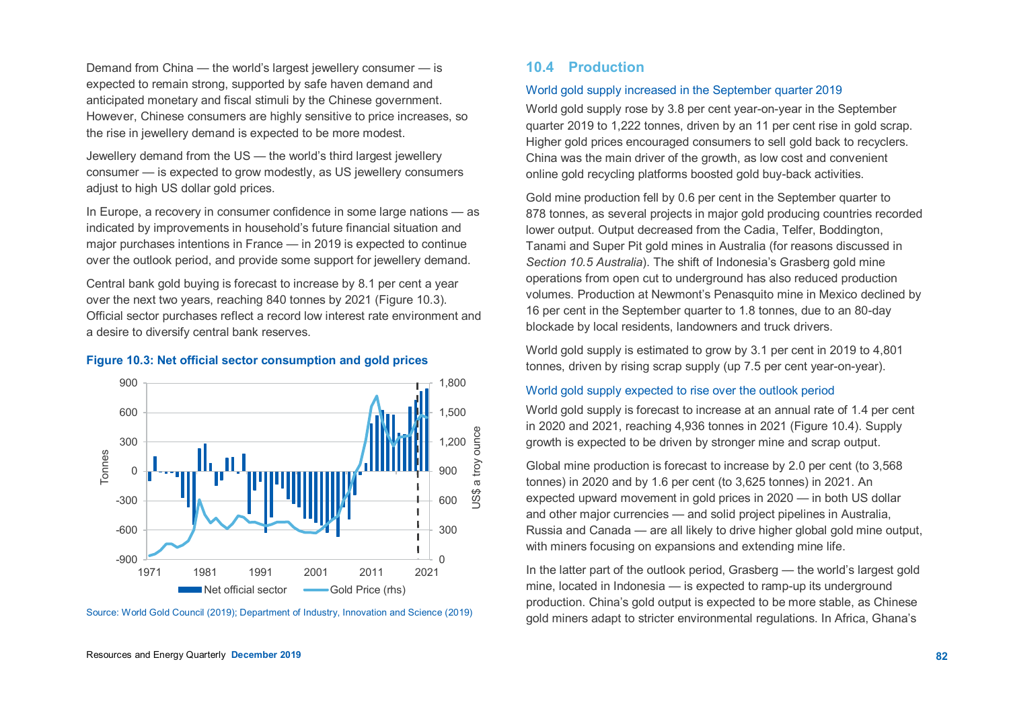Demand from China — the world's largest jewellery consumer — is expected to remain strong, supported by safe haven demand and anticipated monetary and fiscal stimuli by the Chinese government. However, Chinese consumers are highly sensitive to price increases, so the rise in jewellery demand is expected to be more modest.

Jewellery demand from the US — the world's third largest jewellery consumer — is expected to grow modestly, as US jewellery consumers adjust to high US dollar gold prices.

In Europe, a recovery in consumer confidence in some large nations — as indicated by improvements in household's future financial situation and major purchases intentions in France — in 2019 is expected to continue over the outlook period, and provide some support for jewellery demand.

Central bank gold buying is forecast to increase by 8.1 per cent a year over the next two years, reaching 840 tonnes by 2021 (Figure 10.3). Official sector purchases reflect a record low interest rate environment and a desire to diversify central bank reserves.

#### **Figure 10.3: Net official sector consumption and gold prices**



Source: World Gold Council (2019); Department of Industry, Innovation and Science (2019)

### **10.4 Production**

#### World gold supply increased in the September quarter 2019

World gold supply rose by 3.8 per cent year-on-year in the September quarter 2019 to 1,222 tonnes, driven by an 11 per cent rise in gold scrap. Higher gold prices encouraged consumers to sell gold back to recyclers. China was the main driver of the growth, as low cost and convenient online gold recycling platforms boosted gold buy-back activities.

Gold mine production fell by 0.6 per cent in the September quarter to 878 tonnes, as several projects in major gold producing countries recorded lower output. Output decreased from the Cadia, Telfer, Boddington, Tanami and Super Pit gold mines in Australia (for reasons discussed in *Section 10.5 Australia*). The shift of Indonesia's Grasberg gold mine operations from open cut to underground has also reduced production volumes. Production at Newmont's Penasquito mine in Mexico declined by 16 per cent in the September quarter to 1.8 tonnes, due to an 80-day blockade by local residents, landowners and truck drivers.

World gold supply is estimated to grow by 3.1 per cent in 2019 to 4,801 tonnes, driven by rising scrap supply (up 7.5 per cent year-on-year).

#### World gold supply expected to rise over the outlook period

World gold supply is forecast to increase at an annual rate of 1.4 per cent in 2020 and 2021, reaching 4,936 tonnes in 2021 (Figure 10.4). Supply growth is expected to be driven by stronger mine and scrap output.

Global mine production is forecast to increase by 2.0 per cent (to 3,568 tonnes) in 2020 and by 1.6 per cent (to 3,625 tonnes) in 2021. An expected upward movement in gold prices in 2020 — in both US dollar and other major currencies — and solid project pipelines in Australia, Russia and Canada — are all likely to drive higher global gold mine output, with miners focusing on expansions and extending mine life.

In the latter part of the outlook period, Grasberg — the world's largest gold mine, located in Indonesia — is expected to ramp-up its underground production. China's gold output is expected to be more stable, as Chinese gold miners adapt to stricter environmental regulations. In Africa, Ghana's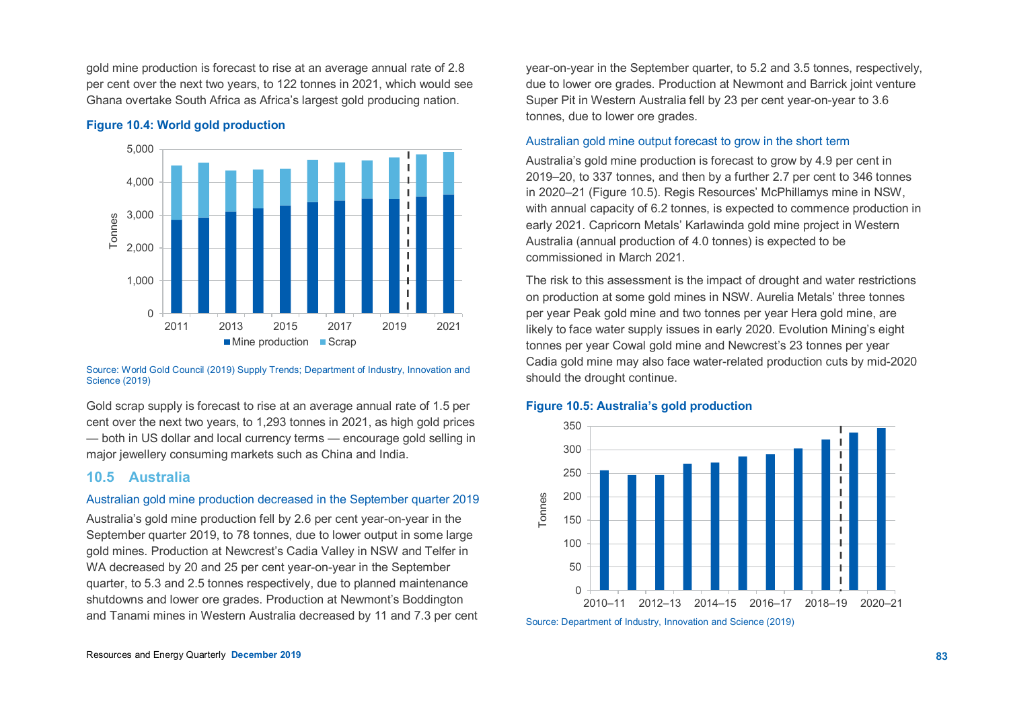gold mine production is forecast to rise at an average annual rate of 2.8 per cent over the next two years, to 122 tonnes in 2021, which would see Ghana overtake South Africa as Africa's largest gold producing nation.

#### **Figure 10.4: World gold production**



Source: World Gold Council (2019) Supply Trends; Department of Industry, Innovation and Science (2019)

Gold scrap supply is forecast to rise at an average annual rate of 1.5 per cent over the next two years, to 1,293 tonnes in 2021, as high gold prices — both in US dollar and local currency terms — encourage gold selling in major jewellery consuming markets such as China and India.

#### **10.5 Australia**

#### Australian gold mine production decreased in the September quarter 2019

Australia's gold mine production fell by 2.6 per cent year-on-year in the September quarter 2019, to 78 tonnes, due to lower output in some large gold mines. Production at Newcrest's Cadia Valley in NSW and Telfer in WA decreased by 20 and 25 per cent year-on-year in the September quarter, to 5.3 and 2.5 tonnes respectively, due to planned maintenance shutdowns and lower ore grades. Production at Newmont's Boddington and Tanami mines in Western Australia decreased by 11 and 7.3 per cent year-on-year in the September quarter, to 5.2 and 3.5 tonnes, respectively, due to lower ore grades. Production at Newmont and Barrick joint venture Super Pit in Western Australia fell by 23 per cent year-on-year to 3.6 tonnes, due to lower ore grades.

#### Australian gold mine output forecast to grow in the short term

Australia's gold mine production is forecast to grow by 4.9 per cent in 2019–20, to 337 tonnes, and then by a further 2.7 per cent to 346 tonnes in 2020–21 (Figure 10.5). Regis Resources' McPhillamys mine in NSW, with annual capacity of 6.2 tonnes, is expected to commence production in early 2021. Capricorn Metals' Karlawinda gold mine project in Western Australia (annual production of 4.0 tonnes) is expected to be commissioned in March 2021.

The risk to this assessment is the impact of drought and water restrictions on production at some gold mines in NSW. Aurelia Metals' three tonnes per year Peak gold mine and two tonnes per year Hera gold mine, are likely to face water supply issues in early 2020. Evolution Mining's eight tonnes per year Cowal gold mine and Newcrest's 23 tonnes per year Cadia gold mine may also face water-related production cuts by mid-2020 should the drought continue.

#### **Figure 10.5: Australia's gold production**



Source: Department of Industry, Innovation and Science (2019)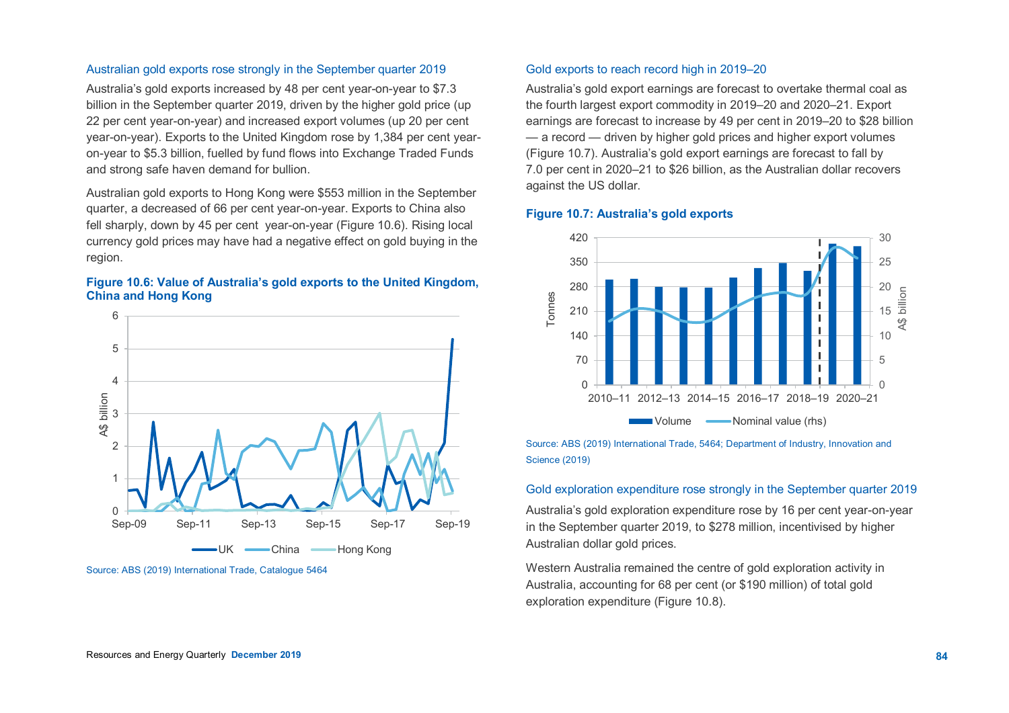#### Resources and Energy Quarterly **December 2019 84**

#### Australian gold exports rose strongly in the September quarter 2019

Australia's gold exports increased by 48 per cent year-on-year to \$7.3 billion in the September quarter 2019, driven by the higher gold price (up 22 per cent year-on-year) and increased export volumes (up 20 per cent year-on-year). Exports to the United Kingdom rose by 1,384 per cent yearon-year to \$5.3 billion, fuelled by fund flows into Exchange Traded Funds and strong safe haven demand for bullion.

Australian gold exports to Hong Kong were \$553 million in the September quarter, a decreased of 66 per cent year-on-year. Exports to China also fell sharply, down by 45 per cent year-on-year (Figure 10.6). Rising local currency gold prices may have had a negative effect on gold buying in the region.

#### **Figure 10.6: Value of Australia's gold exports to the United Kingdom, China and Hong Kong**



Source: ABS (2019) International Trade, Catalogue 5464

#### Gold exports to reach record high in 2019–20

Australia's gold export earnings are forecast to overtake thermal coal as the fourth largest export commodity in 2019–20 and 2020–21. Export earnings are forecast to increase by 49 per cent in 2019–20 to \$28 billion — a record — driven by higher gold prices and higher export volumes (Figure 10.7). Australia's gold export earnings are forecast to fall by 7.0 per cent in 2020–21 to \$26 billion, as the Australian dollar recovers against the US dollar.

#### **Figure 10.7: Australia's gold exports**



Source: ABS (2019) International Trade, 5464; Department of Industry, Innovation and Science (2019)

#### Gold exploration expenditure rose strongly in the September quarter 2019

Australia's gold exploration expenditure rose by 16 per cent year-on-year in the September quarter 2019, to \$278 million, incentivised by higher Australian dollar gold prices.

Western Australia remained the centre of gold exploration activity in Australia, accounting for 68 per cent (or \$190 million) of total gold exploration expenditure (Figure 10.8).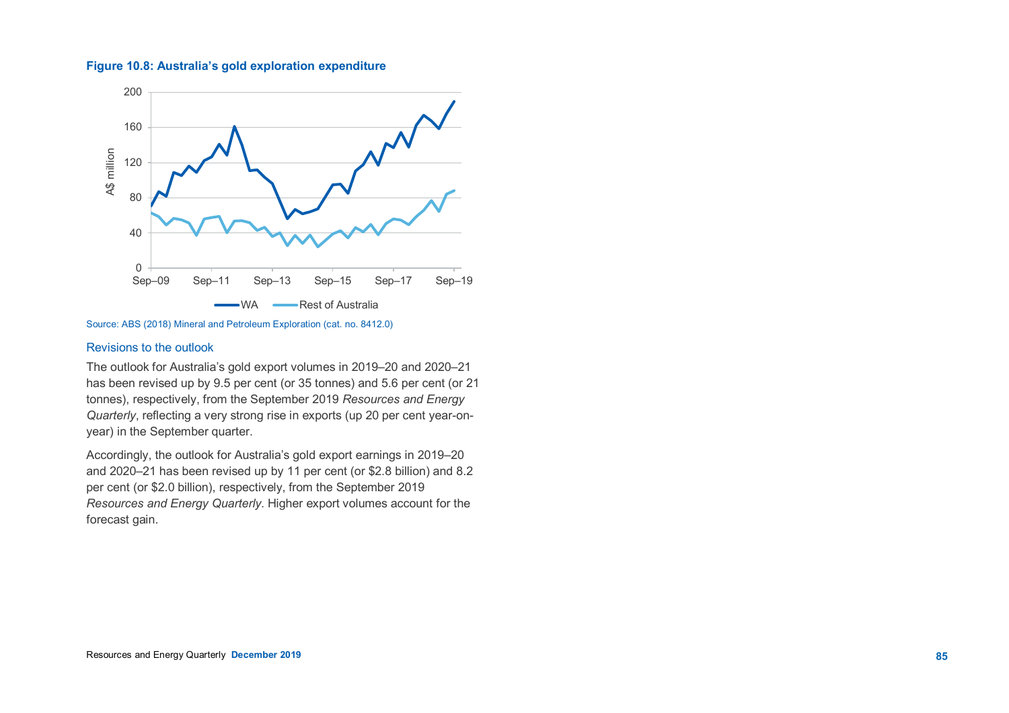#### **Figure 10.8: Australia's gold exploration expenditure**



Source: ABS (2018) Mineral and Petroleum Exploration (cat. no. 8412.0)

#### Revisions to the outlook

The outlook for Australia's gold export volumes in 2019–20 and 2020–21 has been revised up by 9.5 per cent (or 35 tonnes) and 5.6 per cent (or 21 tonnes), respectively, from the September 2019 *Resources and Energy Quarterly*, reflecting a very strong rise in exports (up 20 per cent year-onyear) in the September quarter.

Accordingly, the outlook for Australia's gold export earnings in 2019–20 and 2020–21 has been revised up by 11 per cent (or \$2.8 billion) and 8.2 per cent (or \$2.0 billion), respectively, from the September 2019 *Resources and Energy Quarterly*. Higher export volumes account for the forecast gain.